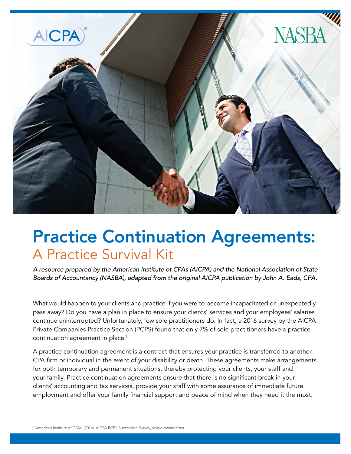

### Practice Continuation Agreements: A Practice Survival Kit

*A resource prepared by the American Institute of CPAs (AICPA) and the National Association of State Boards of Accountancy (NASBA), adapted from the original AICPA publication by John A. Eads, CPA.*

What would happen to your clients and practice if you were to become incapacitated or unexpectedly pass away? Do you have a plan in place to ensure your clients' services and your employees' salaries continue uninterrupted? Unfortunately, few sole practitioners do. In fact, a 2016 survey by the AICPA Private Companies Practice Section (PCPS) found that only 7% of sole practitioners have a practice continuation agreement in place.<sup>1</sup>

A practice continuation agreement is a contract that ensures your practice is transferred to another CPA firm or individual in the event of your disability or death. These agreements make arrangements for both temporary and permanent situations, thereby protecting your clients, your staff and your family. Practice continuation agreements ensure that there is no significant break in your clients' accounting and tax services, provide your staff with some assurance of immediate future employment and offer your family financial support and peace of mind when they need it the most.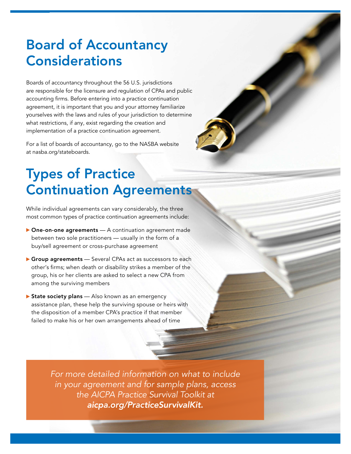### Board of Accountancy **Considerations**

Boards of accountancy throughout the 56 U.S. jurisdictions are responsible for the licensure and regulation of CPAs and public accounting firms. Before entering into a practice continuation agreement, it is important that you and your attorney familiarize yourselves with the laws and rules of your jurisdiction to determine what restrictions, if any, exist regarding the creation and implementation of a practice continuation agreement.

For a list of boards of accountancy, go to the NASBA website at nasba.org/stateboards.

## Types of Practice Continuation Agreements

While individual agreements can vary considerably, the three most common types of practice continuation agreements include:

- One-on-one agreements A continuation agreement made between two sole practitioners — usually in the form of a buy/sell agreement or cross-purchase agreement
- Group agreements Several CPAs act as successors to each other's firms; when death or disability strikes a member of the group, his or her clients are asked to select a new CPA from among the surviving members
- State society plans Also known as an emergency assistance plan, these help the surviving spouse or heirs with the disposition of a member CPA's practice if that member failed to make his or her own arrangements ahead of time

*For more detailed information on what to include in your agreement and for sample plans, access the AICPA Practice Survival Toolkit at aicpa.org/PracticeSurvivalKit.*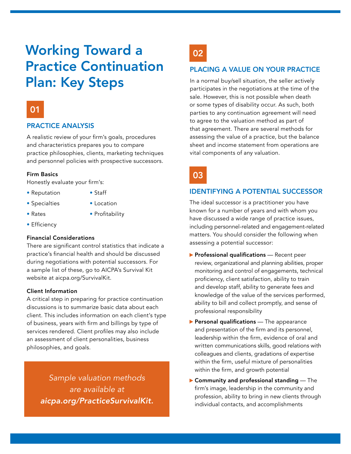### Working Toward a Practice Continuation Plan: Key Steps

### 01

#### PRACTICE ANALYSIS

A realistic review of your firm's goals, procedures and characteristics prepares you to compare practice philosophies, clients, marketing techniques and personnel policies with prospective successors.

#### Firm Basics

Honestly evaluate your firm's:

- Reputation Staff
- 
- Specialties Location
- 
- 
- Rates Profitability
- Efficiency

#### Financial Considerations

There are significant control statistics that indicate a practice's financial health and should be discussed during negotiations with potential successors. For a sample list of these, go to AICPA's Survival Kit website at aicpa.org/SurvivalKit.

#### Client Information

A critical step in preparing for practice continuation discussions is to summarize basic data about each client. This includes information on each client's type of business, years with firm and billings by type of services rendered. Client profiles may also include an assessment of client personalities, business philosophies, and goals.

*Sample valuation methods are available at aicpa.org/PracticeSurvivalKit.* 02

#### PLACING A VALUE ON YOUR PRACTICE

In a normal buy/sell situation, the seller actively participates in the negotiations at the time of the sale. However, this is not possible when death or some types of disability occur. As such, both parties to any continuation agreement will need to agree to the valuation method as part of that agreement. There are several methods for assessing the value of a practice, but the balance sheet and income statement from operations are vital components of any valuation.

03

### IDENTIFYING A POTENTIAL SUCCESSOR

The ideal successor is a practitioner you have known for a number of years and with whom you have discussed a wide range of practice issues, including personnel-related and engagement-related matters. You should consider the following when assessing a potential successor:

- $\blacktriangleright$  Professional qualifications  $-$  Recent peer review, organizational and planning abilities, proper monitoring and control of engagements, technical proficiency, client satisfaction, ability to train and develop staff, ability to generate fees and knowledge of the value of the services performed, ability to bill and collect promptly, and sense of professional responsibility
- $\blacktriangleright$  Personal qualifications The appearance and presentation of the firm and its personnel, leadership within the firm, evidence of oral and written communications skills, good relations with colleagues and clients, gradations of expertise within the firm, useful mixture of personalities within the firm, and growth potential
- $\blacktriangleright$  Community and professional standing  $\perp$  The firm's image, leadership in the community and profession, ability to bring in new clients through individual contacts, and accomplishments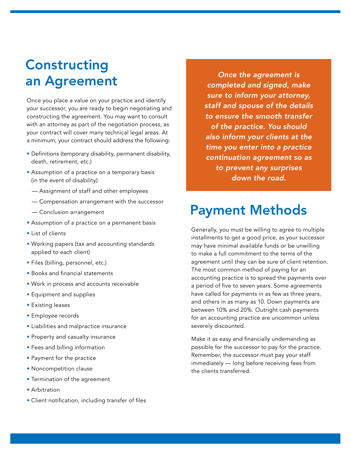### **Constructing** an Agreement

Once you place a value on your practice and identify your successor, you are ready to begin negotiating and constructing the agreement. You may want to consult with an attorney as part of the negotiation process, as your contract will cover many technical legal areas. At a minimum, your contract should address the following:

- Definitions (temporary disability, permanent disability, death, retirement, etc.)
- Assumption of a practice on a temporary basis (in the event of disability)
	- Assignment of staff and other employees
	- Compensation arrangement with the successor
	- Conclusion arrangement
- Assumption of a practice on a permanent basis
- List of clients
- Working papers (tax and accounting standards applied to each client)
- Files (billing, personnel, etc.)
- Books and financial statements
- Work in process and accounts receivable
- Equipment and supplies
- Existing leases
- Employee records
- Liabilities and malpractice insurance
- Property and casualty insurance
- Fees and billing information
- Payment for the practice
- Noncompetition clause
- Termination of the agreement
- Arbitration
- Client notification, including transfer of files

*Once the agreement is completed and signed, make sure to inform your attorney, staff and spouse of the details to ensure the smooth transfer of the practice. You should also inform your clients at the time you enter into a practice continuation agreement so as to prevent any surprises down the road.*

### Payment Methods

Generally, you must be willing to agree to multiple installments to get a good price, as your successor may have minimal available funds or be unwilling to make a full commitment to the terms of the agreement until they can be sure of client retention. The most common method of paying for an accounting practice is to spread the payments over a period of five to seven years. Some agreements have called for payments in as few as three years, and others in as many as 10. Down payments are between 10% and 20%. Outright cash payments for an accounting practice are uncommon unless severely discounted.

Make it as easy and financially undemanding as possible for the successor to pay for the practice. Remember, the successor must pay your staff immediately — long before receiving fees from the clients transferred.